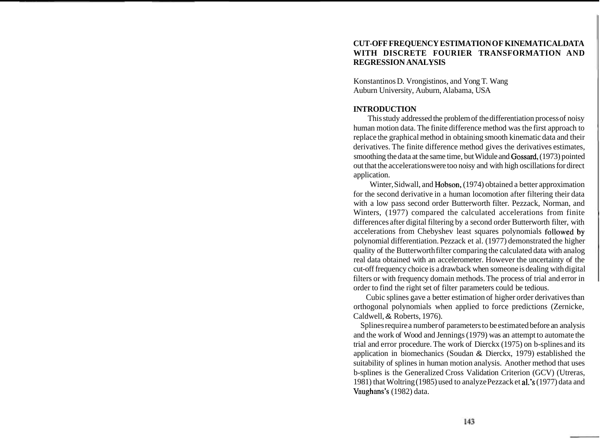# **CUT-OFF FREQUENCY ESTIMATION OF KINEMATICAL DATA WITH DISCRETE FOURIER TRANSFORMATION AND REGRESSION ANALYSIS**

Konstantinos D. Vrongistinos, and Yong T. Wang Auburn University, Auburn, Alabama, USA

### **INTRODUCTION**

This study addressed the problem of the differentiation process of noisy human motion data. The finite difference method was the first approach to replace the graphical method in obtaining smooth kinematic data and their derivatives. The finite difference method gives the derivatives estimates, smoothing the data at the same time, but Widule and Gossard, (1973) pointed out that the accelerations were too noisy and with high oscillations for direct application.

Winter, Sidwall, and Hobson, (1974) obtained a better approximation for the second derivative in a human locomotion after filtering their data with a low pass second order Butterworth filter. Pezzack, Norman, and Winters, (1977) compared the calculated accelerations from finite differences after digital filtering by a second order Butterworth filter, with accelerations from Chebyshev least squares polynomials followed'by polynomial differentiation. Pezzack et al. (1977) demonstrated the higher quality of the Butterworth filter comparing the calculated data with analog real data obtained with an accelerometer. However the uncertainty of the cut-off frequency choice is a drawback when someone is dealing with digital filters or with frequency domain methods. The process of trial and error in order to find the right set of filter parameters could be tedious.

Cubic splines gave a better estimation of higher order derivatives than orthogonal polynomials when applied to force predictions (Zernicke, Caldwell, & Roberts, 1976).

Splines require a number of parameters to be estimated before an analysis and the work of Wood and Jennings (1979) was an attempt to automate the trial and error procedure. The work of Dierckx (1975) on b-splines and its application in biomechanics (Soudan & Dierckx, 1979) established the suitability of splines in human motion analysis. Another method that uses b-splines is the Generalized Cross Validation Criterion (GCV) (Utreras, 1981) that Woltring (1985) used to analyze Pezzack et al.'s (1977) data and Vaughans's (1982) data.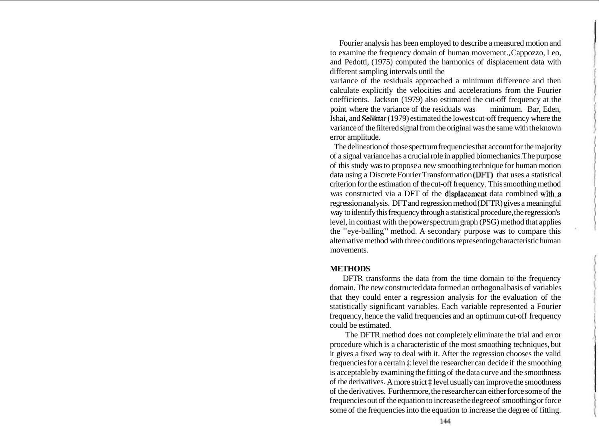Fourier analysis has been employed to describe a measured motion and to examine the frequency domain of human movement., Cappozzo, Leo, and Pedotti, (1975) computed the harmonics of displacement data with different sampling intervals until the

variance of the residuals approached a minimum difference and then calculate explicitly the velocities and accelerations from the Fourier coefficients. Jackson (1979) also estimated the cut-off frequency at the point where the variance of the residuals was minimum. Bar. Eden. point where the variance of the residuals was Ishai, and Seliktar (1979) estimated the lowest cut-off frequency where the variance of the filtered signal from the original was the same with the known error amplitude.

The delineation of those spectrum frequencies that account for the majority of a signal variance has a crucial role in applied biomechanics. The purpose of this study was to propose a new smoothing technique for human motion data using a Discrete Fourier Transformation (DFT) that uses a statistical criterion for the estimation of the cut-off frequency. This smoothing method was constructed via a DFT of the displacement data combined with,.a regression analysis. DFT and regression method (DFTR) gives a meaningful way to identify this frequency through a statistical procedure, the regression's level, in contrast with the power spectrum graph (PSG) method that applies the "eye-balling" method. A secondary purpose was to compare this alternative method with three conditions representing characteristic human movements.

### **METHODS**

DFTR transforms the data from the time domain to the frequency domain. The new constructed data formed an orthogonal basis of variables that they could enter a regression analysis for the evaluation of the statistically significant variables. Each variable represented a Fourier frequency, hence the valid frequencies and an optimum cut-off frequency could be estimated.

The DFTR method does not completely eliminate the trial and error procedure which is a characteristic of the most smoothing techniques, but it gives a fixed way to deal with it. After the regression chooses the valid frequencies for a certain  $\ddagger$  level the researcher can decide if the smoothing is acceptable by examining the fitting of the data curve and the smoothness of the derivatives. A more strict  $\ddagger$  level usually can improve the smoothness of the derivatives. Furthermore, the researcher can either force some of the frequencies out of the equation to increase the degree of smoothing or force some of the frequencies into the equation to increase the degree of fitting.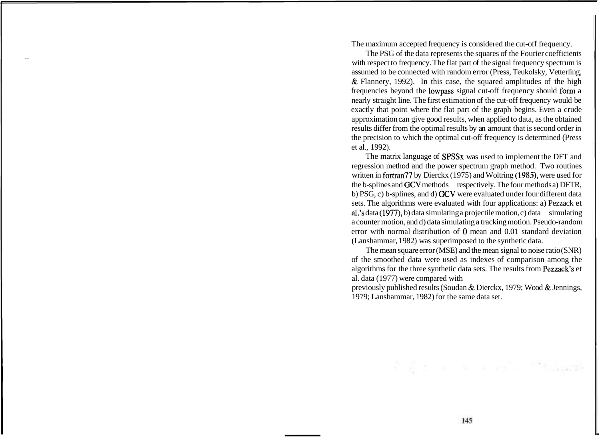The maximum accepted frequency is considered the cut-off frequency.

The PSG of the data represents the squares of the Fourier coefficients with respect to frequency. The flat part of the signal frequency spectrum is assumed to be connected with random error (Press, Teukolsky, Vetterling, & Flannery, 1992). In this case, the squared amplitudes of the high frequencies beyond the lowpass signal cut-off frequency should fotm a nearly straight line. The first estimation of the cut-off frequency would be exactly that point where the flat part of the graph begins. Even a crude approximation can give good results, when applied to data, as the obtained results differ from the optimal results by an amount that is second order in the precision to which the optimal cut-off frequency is determined (Press et al., 1992).

The matrix language of SPSSx was used to implement the DFT and regression method and the power spectrum graph method. Two routines written in fortran<sup>77</sup> by Dierckx (1975) and Woltring (1985), were used for the b-splines and GCV methods respectively. The four methods a) DFTR, b) PSG, c) b-splines, and d) GCV were evaluated under four different data sets. The algorithms were evaluated with four applications: a) Pezzack et al.'s data (1977), b) data simulating a projectile motion, c) data simulating a counter motion, and d) data simulating a tracking motion. Pseudo-random error with normal distribution of 0 mean and 0.01 standard deviation (Lanshammar, 1982) was superimposed to the synthetic data.

The mean square error (MSE) and the mean signal to noise ratio (SNR) of the smoothed data were used as indexes of comparison among the algorithms for the three synthetic data sets. The results from Pezzack's et al. data (1977) were compared with

previously published results (Soudan & Dierckx, 1979; Wood & Jennings, 1979; Lanshammar, 1982) for the same data set.

Kongression and the <sup>ma</sup>ndage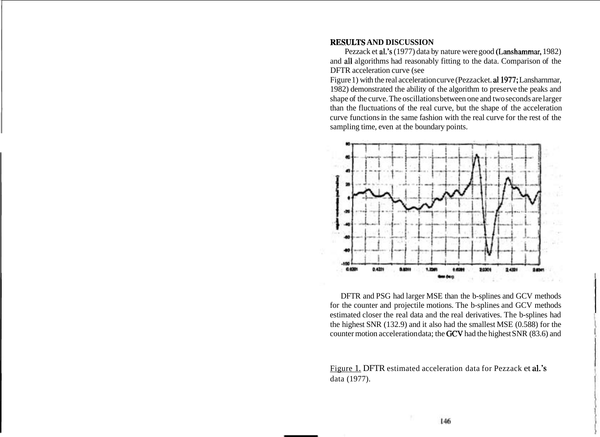#### **RESULTS AND DISCUSSION**

Pezzack et al.'s (1977) data by nature were good (Lanshammar, 1982) and all algorithms had reasonably fitting to the data. Comparison of the DFTR acceleration curve (see

Figure 1) with the real acceleration curve (Pezzacket. al 1977; Lansharnmar, 1982) demonstrated the ability of the algorithm to preserve the peaks and shape of the curve. The oscillations between one and two seconds are larger than the fluctuations of the real curve, but the shape of the acceleration curve functions in the same fashion with the real curve for the rest of the sampling time, even at the boundary points.



DFTR and PSG had larger MSE than the b-splines and GCV methods for the counter and projectile motions. The b-splines and GCV methods estimated closer the real data and the real derivatives. The b-splines had the highest SNR (132.9) and it also had the smallest MSE (0.588) for the counter motion acceleration data; the GCV had the highest SNR (83.6) and

Figure 1. DFTR estimated acceleration data for Pezzack et al.'s data (1977).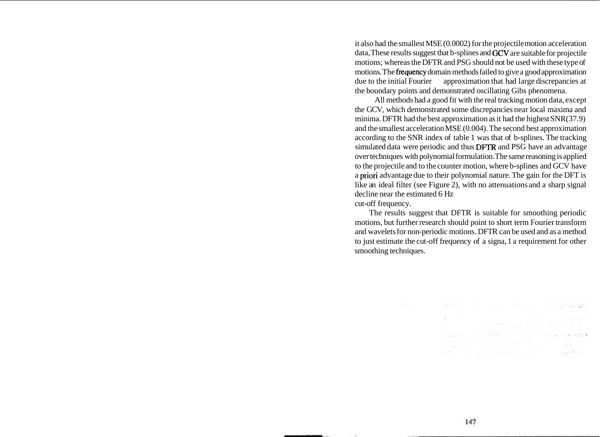it also had the smallest MSE (0.0002) for the projectile motion acceleration data, These results suggest that b-splines and GCV are suitable for projectile motions; whereas the DFTR and PSG should not be used with these type of motions. The frequency domain methods failed to give a good approximation due to the initial Fourier approximation that had large discrepancies at the boundary points and demonstrated oscillating Gibs phenomena.

All methods had a good fit with the real tracking motion data, except the GCV, which demonstrated some discrepancies near local maxima and minima. DFTR had the best approximation as it had the highest SNR(37.9) and the smallest acceleration MSE (0.004). The second best approximation according to the SNR index of table 1 was that of b-splines. The tracking simulated data were periodic and thus DFTR and PSG have an advantage over techniques with polynomial formulation. The same reasoning is applied to the projectile and to the counter motion, where b-splines and GCV have a priori advantage due to their polynomial nature. The gain for the DFT is like an ideal filter (see Figure 2), with no attenuations and a sharp signal decline near the estimated 6 Hz cut-off frequency.

The results suggest that DFTR is suitable for smoothing periodic motions, but further research should point to short term Fourier transform and wavelets for non-periodic motions. DFTR can be used and as a method to just estimate the cut-off frequency of a signa, 1 a requirement for other smoothing techniques.

[CONTENT SAY TO THE TANK THE BEAT TANK TANK THE TABLE TO THE TANK THE TABLE TANK THE TANK THE TANK THE TANK THE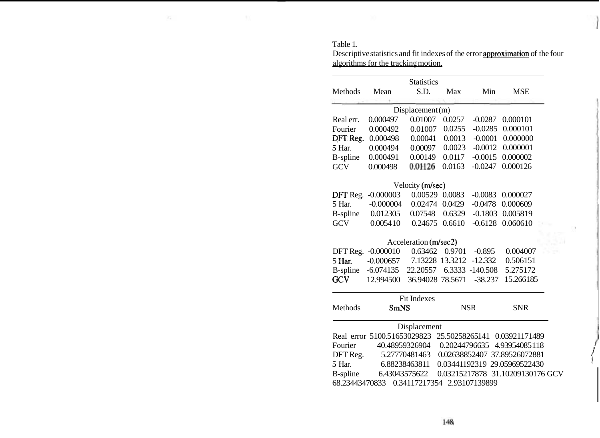Table 1.

Descriptive statistics and fit indexes of the error approximation of the four algorithms for the tracking motion.

|                 |                                               | <b>Statistics</b>           |                |            |                                  |
|-----------------|-----------------------------------------------|-----------------------------|----------------|------------|----------------------------------|
| Methods         | Mean                                          | S.D.                        | Max            | Min        | <b>MSE</b>                       |
|                 |                                               | Displacement (m)            |                |            |                                  |
| Real err.       | 0.000497                                      | 0.01007                     | 0.0257         | $-0.0287$  | 0.000101                         |
| Fourier         | 0.000492                                      | 0.01007                     | 0.0255         | $-0.0285$  | 0.000101                         |
| DFT Reg.        | 0.000498                                      | 0.00041                     | 0.0013         | $-0.0001$  | 0.000000                         |
| 5 Har.          | 0.000494                                      | 0.00097                     | 0.0023         | $-0.0012$  | 0.000001                         |
| <b>B-spline</b> | 0.000491                                      | 0.00149                     | 0.0117         | $-0.0015$  | 0.000002                         |
| <b>GCV</b>      | 0.000498                                      | 0.01126                     | 0.0163         | $-0.0247$  | 0.000126                         |
|                 |                                               | Velocity (m/sec)            |                |            |                                  |
|                 | DFT Reg. - 0.000003                           | 0.00529                     | 0.0083         | $-0.0083$  | 0.000027                         |
| 5 Har.          | $-0.000004$                                   | 0.02474                     | 0.0429         | $-0.0478$  | 0.000609                         |
| <b>B-spline</b> | 0.012305                                      | 0.07548                     | 0.6329         | $-0.1803$  | 0.005819                         |
| <b>GCV</b>      | 0.005410                                      | 0.24675                     | 0.6610         | $-0.6128$  | 0.060610                         |
|                 |                                               | Acceleration (m/sec2)       |                |            |                                  |
|                 | DFT Reg. -0.000010                            | 0.63462                     | 0.9701         | $-0.895$   | 0.004007                         |
| 5 Har.          | $-0.000657$                                   | 7.13228                     | 13.3212        | $-12.332$  | 0.506151                         |
| B-spline        | $-6.074135$                                   | 22.20557                    | 6.3333         | $-140.508$ | 5.275172                         |
| <b>GCV</b>      | 12.994500                                     | 36.94028 78.5671            |                | $-38.237$  | 15.266185                        |
|                 |                                               | <b>Fit Indexes</b>          |                |            |                                  |
| Methods         | <b>SmNS</b>                                   |                             | <b>NSR</b>     |            | <b>SNR</b>                       |
|                 |                                               | Displacement                |                |            |                                  |
|                 | Real error 5100.51653029823                   |                             | 25.50258265141 |            | 0.03921171489                    |
| Fourier         |                                               | 40.48959326904              | 0.20244796635  |            | 4.93954085118                    |
| DFT Reg.        | 5.27770481463<br>0.02638852407 37.89526072881 |                             |                |            |                                  |
| 5 Har.          |                                               | 6.88238463811               |                |            | 0.03441192319 29.05969522430     |
| <b>B-spline</b> | 6.43043575622                                 |                             |                |            | 0.03215217878 31.10209130176 GCV |
| 68.23443470833  |                                               | 0.34117217354 2.93107139899 |                |            |                                  |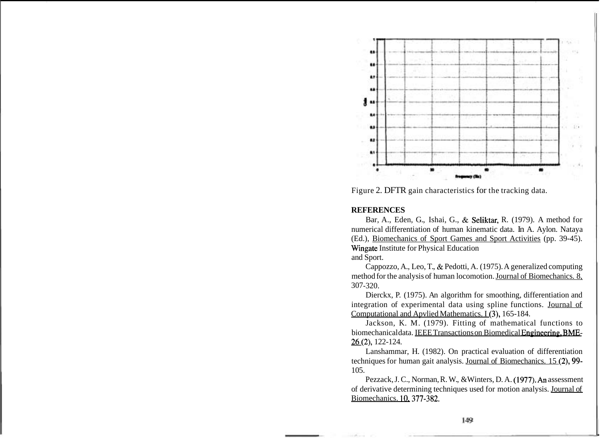

Figure 2. DFTR gain characteristics for the tracking data.

# **REFERENCES**

Bar, A., Eden, G., Ishai, G., & Seliktar, R. (1979). A method for numerical differentiation of human kinematic data. In A. Aylon. Nataya (Ed.), Biomechanics of Sport Games and Sport Activities (pp. 39-45). Wingate Institute for Physical Education and Sport.

Cappozzo, A., Leo, T., & Pedotti, A. (1975). A generalized computing method for the analysis of human locomotion. Journal of Biomechanics. 8, 307-320.

Dierckx, P. (1975). An algorithm for smoothing, differentiation and integration of experimental data using spline functions. Journal of Computational and Apvlied Mathematics. I (3), 165- 184.

Jackson, K. M. (1979). Fitting of mathematical functions to biomechanical data. IEEE Transactions on Biomedical Engineering, BME- $26(2)$ , 122-124.

Lanshammar, H. (1982). On practical evaluation of differentiation techniques for human gait analysis. Journal of Biomechanics. 15 (2), 99- 105.

Pezzack, J. C., Norman, R. W., & Winters, D. A. (1977). An assessment of derivative determining techniques used for motion analysis. Journal of Biomechanics. 10,377-382.